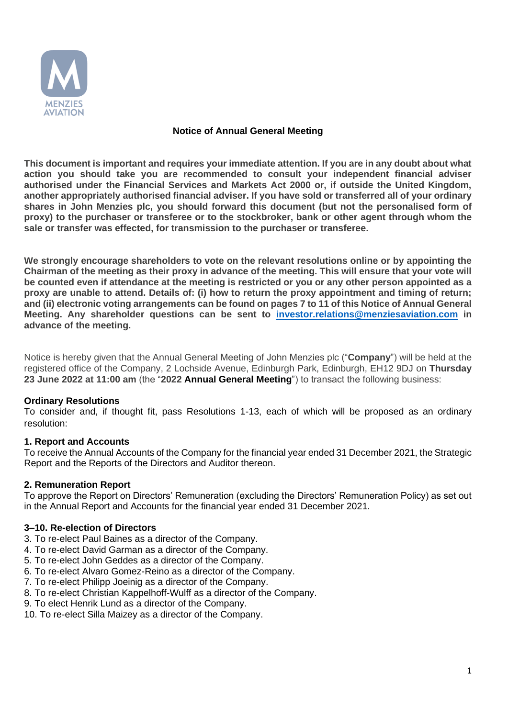

## **Notice of Annual General Meeting**

**This document is important and requires your immediate attention. If you are in any doubt about what action you should take you are recommended to consult your independent financial adviser authorised under the Financial Services and Markets Act 2000 or, if outside the United Kingdom, another appropriately authorised financial adviser. If you have sold or transferred all of your ordinary shares in John Menzies plc, you should forward this document (but not the personalised form of proxy) to the purchaser or transferee or to the stockbroker, bank or other agent through whom the sale or transfer was effected, for transmission to the purchaser or transferee.**

**We strongly encourage shareholders to vote on the relevant resolutions online or by appointing the Chairman of the meeting as their proxy in advance of the meeting. This will ensure that your vote will be counted even if attendance at the meeting is restricted or you or any other person appointed as a proxy are unable to attend. Details of: (i) how to return the proxy appointment and timing of return; and (ii) electronic voting arrangements can be found on pages 7 to 11 of this Notice of Annual General Meeting. Any shareholder questions can be sent to [investor.relations@menziesaviation.com](mailto:investor.relations@menziesaviation.com) in advance of the meeting.**

Notice is hereby given that the Annual General Meeting of John Menzies plc ("**Company**") will be held at the registered office of the Company, 2 Lochside Avenue, Edinburgh Park, Edinburgh, EH12 9DJ on **Thursday 23 June 2022 at 11:00 am** (the "**2022 Annual General Meeting**") to transact the following business:

### **Ordinary Resolutions**

To consider and, if thought fit, pass Resolutions 1-13, each of which will be proposed as an ordinary resolution:

### **1. Report and Accounts**

To receive the Annual Accounts of the Company for the financial year ended 31 December 2021, the Strategic Report and the Reports of the Directors and Auditor thereon.

### **2. Remuneration Report**

To approve the Report on Directors' Remuneration (excluding the Directors' Remuneration Policy) as set out in the Annual Report and Accounts for the financial year ended 31 December 2021.

### **3–10. Re-election of Directors**

- 3. To re-elect Paul Baines as a director of the Company.
- 4. To re-elect David Garman as a director of the Company.
- 5. To re-elect John Geddes as a director of the Company.
- 6. To re-elect Alvaro Gomez-Reino as a director of the Company.
- 7. To re-elect Philipp Joeinig as a director of the Company.
- 8. To re-elect Christian Kappelhoff-Wulff as a director of the Company.
- 9. To elect Henrik Lund as a director of the Company.
- 10. To re-elect Silla Maizey as a director of the Company.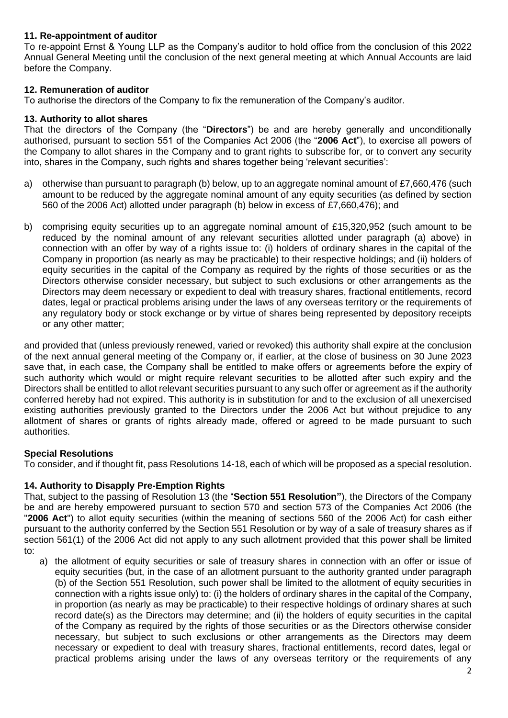## **11. Re-appointment of auditor**

To re-appoint Ernst & Young LLP as the Company's auditor to hold office from the conclusion of this 2022 Annual General Meeting until the conclusion of the next general meeting at which Annual Accounts are laid before the Company.

### **12. Remuneration of auditor**

To authorise the directors of the Company to fix the remuneration of the Company's auditor.

### **13. Authority to allot shares**

That the directors of the Company (the "**Directors**") be and are hereby generally and unconditionally authorised, pursuant to section 551 of the Companies Act 2006 (the "**2006 Act**"), to exercise all powers of the Company to allot shares in the Company and to grant rights to subscribe for, or to convert any security into, shares in the Company, such rights and shares together being 'relevant securities':

- a) otherwise than pursuant to paragraph (b) below, up to an aggregate nominal amount of £7,660,476 (such amount to be reduced by the aggregate nominal amount of any equity securities (as defined by section 560 of the 2006 Act) allotted under paragraph (b) below in excess of £7,660,476); and
- b) comprising equity securities up to an aggregate nominal amount of £15,320,952 (such amount to be reduced by the nominal amount of any relevant securities allotted under paragraph (a) above) in connection with an offer by way of a rights issue to: (i) holders of ordinary shares in the capital of the Company in proportion (as nearly as may be practicable) to their respective holdings; and (ii) holders of equity securities in the capital of the Company as required by the rights of those securities or as the Directors otherwise consider necessary, but subject to such exclusions or other arrangements as the Directors may deem necessary or expedient to deal with treasury shares, fractional entitlements, record dates, legal or practical problems arising under the laws of any overseas territory or the requirements of any regulatory body or stock exchange or by virtue of shares being represented by depository receipts or any other matter;

and provided that (unless previously renewed, varied or revoked) this authority shall expire at the conclusion of the next annual general meeting of the Company or, if earlier, at the close of business on 30 June 2023 save that, in each case, the Company shall be entitled to make offers or agreements before the expiry of such authority which would or might require relevant securities to be allotted after such expiry and the Directors shall be entitled to allot relevant securities pursuant to any such offer or agreement as if the authority conferred hereby had not expired. This authority is in substitution for and to the exclusion of all unexercised existing authorities previously granted to the Directors under the 2006 Act but without prejudice to any allotment of shares or grants of rights already made, offered or agreed to be made pursuant to such authorities.

# **Special Resolutions**

To consider, and if thought fit, pass Resolutions 14-18, each of which will be proposed as a special resolution.

# **14. Authority to Disapply Pre-Emption Rights**

That, subject to the passing of Resolution 13 (the "**Section 551 Resolution"**), the Directors of the Company be and are hereby empowered pursuant to section 570 and section 573 of the Companies Act 2006 (the "**2006 Act**") to allot equity securities (within the meaning of sections 560 of the 2006 Act) for cash either pursuant to the authority conferred by the Section 551 Resolution or by way of a sale of treasury shares as if section 561(1) of the 2006 Act did not apply to any such allotment provided that this power shall be limited to:

a) the allotment of equity securities or sale of treasury shares in connection with an offer or issue of equity securities (but, in the case of an allotment pursuant to the authority granted under paragraph (b) of the Section 551 Resolution, such power shall be limited to the allotment of equity securities in connection with a rights issue only) to: (i) the holders of ordinary shares in the capital of the Company, in proportion (as nearly as may be practicable) to their respective holdings of ordinary shares at such record date(s) as the Directors may determine; and (ii) the holders of equity securities in the capital of the Company as required by the rights of those securities or as the Directors otherwise consider necessary, but subject to such exclusions or other arrangements as the Directors may deem necessary or expedient to deal with treasury shares, fractional entitlements, record dates, legal or practical problems arising under the laws of any overseas territory or the requirements of any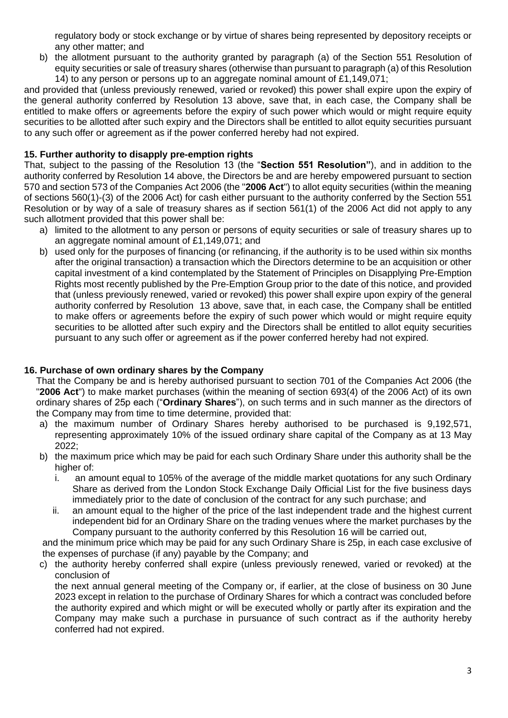regulatory body or stock exchange or by virtue of shares being represented by depository receipts or any other matter; and

b) the allotment pursuant to the authority granted by paragraph (a) of the Section 551 Resolution of equity securities or sale of treasury shares (otherwise than pursuant to paragraph (a) of this Resolution 14) to any person or persons up to an aggregate nominal amount of £1,149,071;

and provided that (unless previously renewed, varied or revoked) this power shall expire upon the expiry of the general authority conferred by Resolution 13 above, save that, in each case, the Company shall be entitled to make offers or agreements before the expiry of such power which would or might require equity securities to be allotted after such expiry and the Directors shall be entitled to allot equity securities pursuant to any such offer or agreement as if the power conferred hereby had not expired.

## **15. Further authority to disapply pre-emption rights**

That, subject to the passing of the Resolution 13 (the "**Section 551 Resolution"**), and in addition to the authority conferred by Resolution 14 above, the Directors be and are hereby empowered pursuant to section 570 and section 573 of the Companies Act 2006 (the "**2006 Act**") to allot equity securities (within the meaning of sections 560(1)-(3) of the 2006 Act) for cash either pursuant to the authority conferred by the Section 551 Resolution or by way of a sale of treasury shares as if section 561(1) of the 2006 Act did not apply to any such allotment provided that this power shall be:

- a) limited to the allotment to any person or persons of equity securities or sale of treasury shares up to an aggregate nominal amount of £1,149,071; and
- b) used only for the purposes of financing (or refinancing, if the authority is to be used within six months after the original transaction) a transaction which the Directors determine to be an acquisition or other capital investment of a kind contemplated by the Statement of Principles on Disapplying Pre-Emption Rights most recently published by the Pre-Emption Group prior to the date of this notice, and provided that (unless previously renewed, varied or revoked) this power shall expire upon expiry of the general authority conferred by Resolution 13 above, save that, in each case, the Company shall be entitled to make offers or agreements before the expiry of such power which would or might require equity securities to be allotted after such expiry and the Directors shall be entitled to allot equity securities pursuant to any such offer or agreement as if the power conferred hereby had not expired.

### **16. Purchase of own ordinary shares by the Company**

That the Company be and is hereby authorised pursuant to section 701 of the Companies Act 2006 (the "**2006 Act**") to make market purchases (within the meaning of section 693(4) of the 2006 Act) of its own ordinary shares of 25p each ("**Ordinary Shares**"), on such terms and in such manner as the directors of the Company may from time to time determine, provided that:

- a) the maximum number of Ordinary Shares hereby authorised to be purchased is 9,192,571, representing approximately 10% of the issued ordinary share capital of the Company as at 13 May 2022;
- b) the maximum price which may be paid for each such Ordinary Share under this authority shall be the higher of:
	- i. an amount equal to 105% of the average of the middle market quotations for any such Ordinary Share as derived from the London Stock Exchange Daily Official List for the five business days immediately prior to the date of conclusion of the contract for any such purchase; and
	- ii. an amount equal to the higher of the price of the last independent trade and the highest current independent bid for an Ordinary Share on the trading venues where the market purchases by the Company pursuant to the authority conferred by this Resolution 16 will be carried out,

and the minimum price which may be paid for any such Ordinary Share is 25p, in each case exclusive of the expenses of purchase (if any) payable by the Company; and

c) the authority hereby conferred shall expire (unless previously renewed, varied or revoked) at the conclusion of

the next annual general meeting of the Company or, if earlier, at the close of business on 30 June 2023 except in relation to the purchase of Ordinary Shares for which a contract was concluded before the authority expired and which might or will be executed wholly or partly after its expiration and the Company may make such a purchase in pursuance of such contract as if the authority hereby conferred had not expired.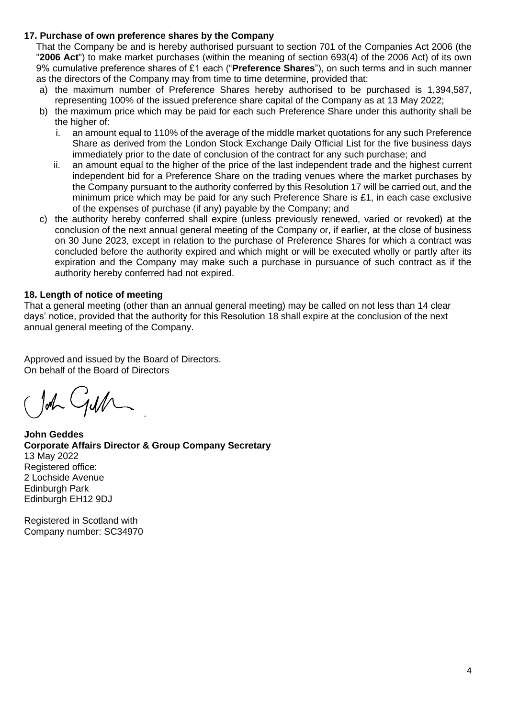## **17. Purchase of own preference shares by the Company**

That the Company be and is hereby authorised pursuant to section 701 of the Companies Act 2006 (the "**2006 Act**") to make market purchases (within the meaning of section 693(4) of the 2006 Act) of its own 9% cumulative preference shares of £1 each ("**Preference Shares**"), on such terms and in such manner as the directors of the Company may from time to time determine, provided that:

- a) the maximum number of Preference Shares hereby authorised to be purchased is 1,394,587, representing 100% of the issued preference share capital of the Company as at 13 May 2022;
- b) the maximum price which may be paid for each such Preference Share under this authority shall be the higher of:
	- i. an amount equal to 110% of the average of the middle market quotations for any such Preference Share as derived from the London Stock Exchange Daily Official List for the five business days immediately prior to the date of conclusion of the contract for any such purchase; and
	- ii. an amount equal to the higher of the price of the last independent trade and the highest current independent bid for a Preference Share on the trading venues where the market purchases by the Company pursuant to the authority conferred by this Resolution 17 will be carried out, and the minimum price which may be paid for any such Preference Share is £1, in each case exclusive of the expenses of purchase (if any) payable by the Company; and
- c) the authority hereby conferred shall expire (unless previously renewed, varied or revoked) at the conclusion of the next annual general meeting of the Company or, if earlier, at the close of business on 30 June 2023, except in relation to the purchase of Preference Shares for which a contract was concluded before the authority expired and which might or will be executed wholly or partly after its expiration and the Company may make such a purchase in pursuance of such contract as if the authority hereby conferred had not expired.

## **18. Length of notice of meeting**

That a general meeting (other than an annual general meeting) may be called on not less than 14 clear days' notice, provided that the authority for this Resolution 18 shall expire at the conclusion of the next annual general meeting of the Company.

Approved and issued by the Board of Directors. On behalf of the Board of Directors

John Gulh

**John Geddes Corporate Affairs Director & Group Company Secretary** 13 May 2022 Registered office: 2 Lochside Avenue Edinburgh Park Edinburgh EH12 9DJ

Registered in Scotland with Company number: SC34970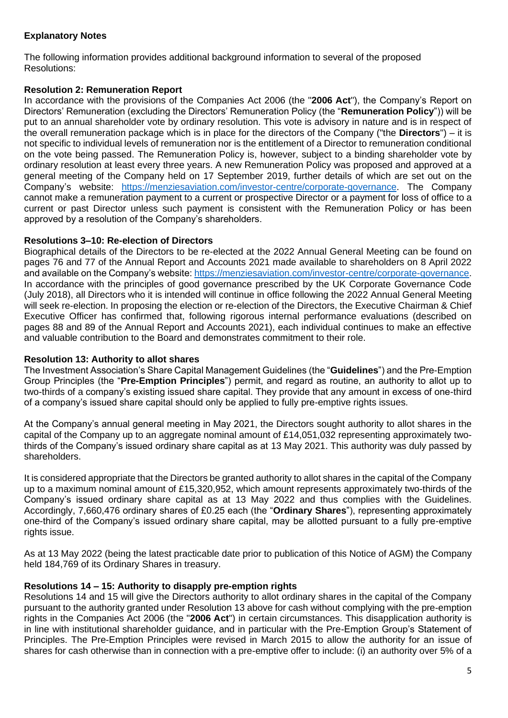# **Explanatory Notes**

The following information provides additional background information to several of the proposed Resolutions:

# **Resolution 2: Remuneration Report**

In accordance with the provisions of the Companies Act 2006 (the "**2006 Act**"), the Company's Report on Directors' Remuneration (excluding the Directors' Remuneration Policy (the "**Remuneration Policy**")) will be put to an annual shareholder vote by ordinary resolution. This vote is advisory in nature and is in respect of the overall remuneration package which is in place for the directors of the Company ("the **Directors**") – it is not specific to individual levels of remuneration nor is the entitlement of a Director to remuneration conditional on the vote being passed. The Remuneration Policy is, however, subject to a binding shareholder vote by ordinary resolution at least every three years. A new Remuneration Policy was proposed and approved at a general meeting of the Company held on 17 September 2019, further details of which are set out on the Company's website: [https://menziesaviation.com/investor-centre/corporate-governance.](https://menziesaviation.com/investor-centre/corporate-governance) The Company cannot make a remuneration payment to a current or prospective Director or a payment for loss of office to a current or past Director unless such payment is consistent with the Remuneration Policy or has been approved by a resolution of the Company's shareholders.

## **Resolutions 3–10: Re-election of Directors**

Biographical details of the Directors to be re-elected at the 2022 Annual General Meeting can be found on pages 76 and 77 of the Annual Report and Accounts 2021 made available to shareholders on 8 April 2022 and available on the Company's website[: https://menziesaviation.com/investor-centre/corporate-governance.](https://menziesaviation.com/investor-centre/corporate-governance) In accordance with the principles of good governance prescribed by the UK Corporate Governance Code (July 2018), all Directors who it is intended will continue in office following the 2022 Annual General Meeting will seek re-election. In proposing the election or re-election of the Directors, the Executive Chairman & Chief Executive Officer has confirmed that, following rigorous internal performance evaluations (described on pages 88 and 89 of the Annual Report and Accounts 2021), each individual continues to make an effective and valuable contribution to the Board and demonstrates commitment to their role.

### **Resolution 13: Authority to allot shares**

The Investment Association's Share Capital Management Guidelines (the "**Guidelines**") and the Pre-Emption Group Principles (the "**Pre-Emption Principles**") permit, and regard as routine, an authority to allot up to two-thirds of a company's existing issued share capital. They provide that any amount in excess of one-third of a company's issued share capital should only be applied to fully pre-emptive rights issues.

At the Company's annual general meeting in May 2021, the Directors sought authority to allot shares in the capital of the Company up to an aggregate nominal amount of £14,051,032 representing approximately twothirds of the Company's issued ordinary share capital as at 13 May 2021. This authority was duly passed by shareholders.

It is considered appropriate that the Directors be granted authority to allot shares in the capital of the Company up to a maximum nominal amount of £15,320,952, which amount represents approximately two-thirds of the Company's issued ordinary share capital as at 13 May 2022 and thus complies with the Guidelines. Accordingly, 7,660,476 ordinary shares of £0.25 each (the "**Ordinary Shares**"), representing approximately one-third of the Company's issued ordinary share capital, may be allotted pursuant to a fully pre-emptive rights issue.

As at 13 May 2022 (being the latest practicable date prior to publication of this Notice of AGM) the Company held 184,769 of its Ordinary Shares in treasury.

# **Resolutions 14 – 15: Authority to disapply pre-emption rights**

Resolutions 14 and 15 will give the Directors authority to allot ordinary shares in the capital of the Company pursuant to the authority granted under Resolution 13 above for cash without complying with the pre-emption rights in the Companies Act 2006 (the "**2006 Act**") in certain circumstances. This disapplication authority is in line with institutional shareholder guidance, and in particular with the Pre-Emption Group's Statement of Principles. The Pre-Emption Principles were revised in March 2015 to allow the authority for an issue of shares for cash otherwise than in connection with a pre-emptive offer to include: (i) an authority over 5% of a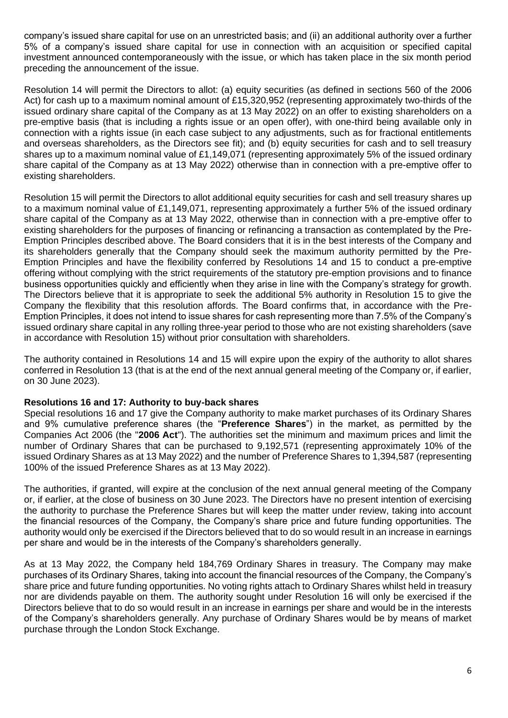company's issued share capital for use on an unrestricted basis; and (ii) an additional authority over a further 5% of a company's issued share capital for use in connection with an acquisition or specified capital investment announced contemporaneously with the issue, or which has taken place in the six month period preceding the announcement of the issue.

Resolution 14 will permit the Directors to allot: (a) equity securities (as defined in sections 560 of the 2006 Act) for cash up to a maximum nominal amount of £15,320,952 (representing approximately two-thirds of the issued ordinary share capital of the Company as at 13 May 2022) on an offer to existing shareholders on a pre-emptive basis (that is including a rights issue or an open offer), with one-third being available only in connection with a rights issue (in each case subject to any adjustments, such as for fractional entitlements and overseas shareholders, as the Directors see fit); and (b) equity securities for cash and to sell treasury shares up to a maximum nominal value of £1,149,071 (representing approximately 5% of the issued ordinary share capital of the Company as at 13 May 2022) otherwise than in connection with a pre-emptive offer to existing shareholders.

Resolution 15 will permit the Directors to allot additional equity securities for cash and sell treasury shares up to a maximum nominal value of £1,149,071, representing approximately a further 5% of the issued ordinary share capital of the Company as at 13 May 2022, otherwise than in connection with a pre-emptive offer to existing shareholders for the purposes of financing or refinancing a transaction as contemplated by the Pre-Emption Principles described above. The Board considers that it is in the best interests of the Company and its shareholders generally that the Company should seek the maximum authority permitted by the Pre-Emption Principles and have the flexibility conferred by Resolutions 14 and 15 to conduct a pre-emptive offering without complying with the strict requirements of the statutory pre-emption provisions and to finance business opportunities quickly and efficiently when they arise in line with the Company's strategy for growth. The Directors believe that it is appropriate to seek the additional 5% authority in Resolution 15 to give the Company the flexibility that this resolution affords. The Board confirms that, in accordance with the Pre-Emption Principles, it does not intend to issue shares for cash representing more than 7.5% of the Company's issued ordinary share capital in any rolling three-year period to those who are not existing shareholders (save in accordance with Resolution 15) without prior consultation with shareholders.

The authority contained in Resolutions 14 and 15 will expire upon the expiry of the authority to allot shares conferred in Resolution 13 (that is at the end of the next annual general meeting of the Company or, if earlier, on 30 June 2023).

### **Resolutions 16 and 17: Authority to buy-back shares**

Special resolutions 16 and 17 give the Company authority to make market purchases of its Ordinary Shares and 9% cumulative preference shares (the "**Preference Shares**") in the market, as permitted by the Companies Act 2006 (the "**2006 Act**"). The authorities set the minimum and maximum prices and limit the number of Ordinary Shares that can be purchased to 9,192,571 (representing approximately 10% of the issued Ordinary Shares as at 13 May 2022) and the number of Preference Shares to 1,394,587 (representing 100% of the issued Preference Shares as at 13 May 2022).

The authorities, if granted, will expire at the conclusion of the next annual general meeting of the Company or, if earlier, at the close of business on 30 June 2023. The Directors have no present intention of exercising the authority to purchase the Preference Shares but will keep the matter under review, taking into account the financial resources of the Company, the Company's share price and future funding opportunities. The authority would only be exercised if the Directors believed that to do so would result in an increase in earnings per share and would be in the interests of the Company's shareholders generally.

As at 13 May 2022, the Company held 184,769 Ordinary Shares in treasury. The Company may make purchases of its Ordinary Shares, taking into account the financial resources of the Company, the Company's share price and future funding opportunities. No voting rights attach to Ordinary Shares whilst held in treasury nor are dividends payable on them. The authority sought under Resolution 16 will only be exercised if the Directors believe that to do so would result in an increase in earnings per share and would be in the interests of the Company's shareholders generally. Any purchase of Ordinary Shares would be by means of market purchase through the London Stock Exchange.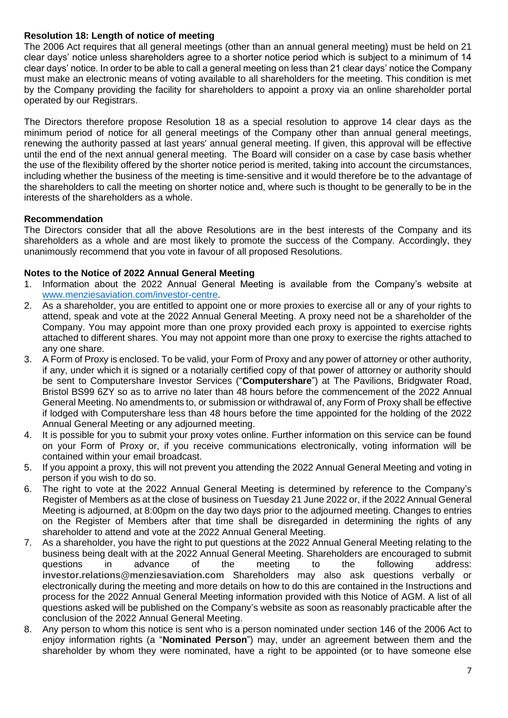## **Resolution 18: Length of notice of meeting**

The 2006 Act requires that all general meetings (other than an annual general meeting) must be held on 21 clear days' notice unless shareholders agree to a shorter notice period which is subject to a minimum of 14 clear days' notice. In order to be able to call a general meeting on less than 21 clear days' notice the Company must make an electronic means of voting available to all shareholders for the meeting. This condition is met by the Company providing the facility for shareholders to appoint a proxy via an online shareholder portal operated by our Registrars.

The Directors therefore propose Resolution 18 as a special resolution to approve 14 clear days as the minimum period of notice for all general meetings of the Company other than annual general meetings, renewing the authority passed at last years' annual general meeting. If given, this approval will be effective until the end of the next annual general meeting. The Board will consider on a case by case basis whether the use of the flexibility offered by the shorter notice period is merited, taking into account the circumstances, including whether the business of the meeting is time-sensitive and it would therefore be to the advantage of the shareholders to call the meeting on shorter notice and, where such is thought to be generally to be in the interests of the shareholders as a whole.

## **Recommendation**

The Directors consider that all the above Resolutions are in the best interests of the Company and its shareholders as a whole and are most likely to promote the success of the Company. Accordingly, they unanimously recommend that you vote in favour of all proposed Resolutions.

## **Notes to the Notice of 2022 Annual General Meeting**

- 1. Information about the 2022 Annual General Meeting is available from the Company's website at [www.menziesaviation.com/investor-centre.](http://www.menziesaviation.com/investor-centre)
- 2. As a shareholder, you are entitled to appoint one or more proxies to exercise all or any of your rights to attend, speak and vote at the 2022 Annual General Meeting. A proxy need not be a shareholder of the Company. You may appoint more than one proxy provided each proxy is appointed to exercise rights attached to different shares. You may not appoint more than one proxy to exercise the rights attached to any one share.
- 3. A Form of Proxy is enclosed. To be valid, your Form of Proxy and any power of attorney or other authority, if any, under which it is signed or a notarially certified copy of that power of attorney or authority should be sent to Computershare Investor Services ("**Computershare**") at The Pavilions, Bridgwater Road, Bristol BS99 6ZY so as to arrive no later than 48 hours before the commencement of the 2022 Annual General Meeting. No amendments to, or submission or withdrawal of, any Form of Proxy shall be effective if lodged with Computershare less than 48 hours before the time appointed for the holding of the 2022 Annual General Meeting or any adjourned meeting.
- 4. It is possible for you to submit your proxy votes online. Further information on this service can be found on your Form of Proxy or, if you receive communications electronically, voting information will be contained within your email broadcast.
- 5. If you appoint a proxy, this will not prevent you attending the 2022 Annual General Meeting and voting in person if you wish to do so.
- 6. The right to vote at the 2022 Annual General Meeting is determined by reference to the Company's Register of Members as at the close of business on Tuesday 21 June 2022 or, if the 2022 Annual General Meeting is adjourned, at 8:00pm on the day two days prior to the adjourned meeting. Changes to entries on the Register of Members after that time shall be disregarded in determining the rights of any shareholder to attend and vote at the 2022 Annual General Meeting.
- 7. As a shareholder, you have the right to put questions at the 2022 Annual General Meeting relating to the business being dealt with at the 2022 Annual General Meeting. Shareholders are encouraged to submit questions in advance of the meeting to the following address: **investor.relations@menziesaviation.com** Shareholders may also ask questions verbally or electronically during the meeting and more details on how to do this are contained in the Instructions and process for the 2022 Annual General Meeting information provided with this Notice of AGM. A list of all questions asked will be published on the Company's website as soon as reasonably practicable after the conclusion of the 2022 Annual General Meeting.
- 8. Any person to whom this notice is sent who is a person nominated under section 146 of the 2006 Act to enjoy information rights (a "**Nominated Person**") may, under an agreement between them and the shareholder by whom they were nominated, have a right to be appointed (or to have someone else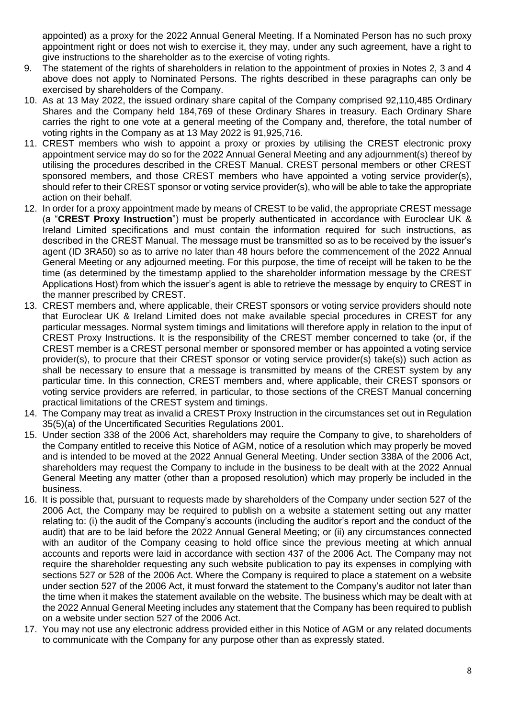appointed) as a proxy for the 2022 Annual General Meeting. If a Nominated Person has no such proxy appointment right or does not wish to exercise it, they may, under any such agreement, have a right to give instructions to the shareholder as to the exercise of voting rights.

- 9. The statement of the rights of shareholders in relation to the appointment of proxies in Notes 2, 3 and 4 above does not apply to Nominated Persons. The rights described in these paragraphs can only be exercised by shareholders of the Company.
- 10. As at 13 May 2022, the issued ordinary share capital of the Company comprised 92,110,485 Ordinary Shares and the Company held 184,769 of these Ordinary Shares in treasury. Each Ordinary Share carries the right to one vote at a general meeting of the Company and, therefore, the total number of voting rights in the Company as at 13 May 2022 is 91,925,716.
- 11. CREST members who wish to appoint a proxy or proxies by utilising the CREST electronic proxy appointment service may do so for the 2022 Annual General Meeting and any adjournment(s) thereof by utilising the procedures described in the CREST Manual. CREST personal members or other CREST sponsored members, and those CREST members who have appointed a voting service provider(s), should refer to their CREST sponsor or voting service provider(s), who will be able to take the appropriate action on their behalf.
- 12. In order for a proxy appointment made by means of CREST to be valid, the appropriate CREST message (a "**CREST Proxy Instruction**") must be properly authenticated in accordance with Euroclear UK & Ireland Limited specifications and must contain the information required for such instructions, as described in the CREST Manual. The message must be transmitted so as to be received by the issuer's agent (ID 3RA50) so as to arrive no later than 48 hours before the commencement of the 2022 Annual General Meeting or any adjourned meeting. For this purpose, the time of receipt will be taken to be the time (as determined by the timestamp applied to the shareholder information message by the CREST Applications Host) from which the issuer's agent is able to retrieve the message by enquiry to CREST in the manner prescribed by CREST.
- 13. CREST members and, where applicable, their CREST sponsors or voting service providers should note that Euroclear UK & Ireland Limited does not make available special procedures in CREST for any particular messages. Normal system timings and limitations will therefore apply in relation to the input of CREST Proxy Instructions. It is the responsibility of the CREST member concerned to take (or, if the CREST member is a CREST personal member or sponsored member or has appointed a voting service provider(s), to procure that their CREST sponsor or voting service provider(s) take(s)) such action as shall be necessary to ensure that a message is transmitted by means of the CREST system by any particular time. In this connection, CREST members and, where applicable, their CREST sponsors or voting service providers are referred, in particular, to those sections of the CREST Manual concerning practical limitations of the CREST system and timings.
- 14. The Company may treat as invalid a CREST Proxy Instruction in the circumstances set out in Regulation 35(5)(a) of the Uncertificated Securities Regulations 2001.
- 15. Under section 338 of the 2006 Act, shareholders may require the Company to give, to shareholders of the Company entitled to receive this Notice of AGM, notice of a resolution which may properly be moved and is intended to be moved at the 2022 Annual General Meeting. Under section 338A of the 2006 Act, shareholders may request the Company to include in the business to be dealt with at the 2022 Annual General Meeting any matter (other than a proposed resolution) which may properly be included in the business.
- 16. It is possible that, pursuant to requests made by shareholders of the Company under section 527 of the 2006 Act, the Company may be required to publish on a website a statement setting out any matter relating to: (i) the audit of the Company's accounts (including the auditor's report and the conduct of the audit) that are to be laid before the 2022 Annual General Meeting; or (ii) any circumstances connected with an auditor of the Company ceasing to hold office since the previous meeting at which annual accounts and reports were laid in accordance with section 437 of the 2006 Act. The Company may not require the shareholder requesting any such website publication to pay its expenses in complying with sections 527 or 528 of the 2006 Act. Where the Company is required to place a statement on a website under section 527 of the 2006 Act, it must forward the statement to the Company's auditor not later than the time when it makes the statement available on the website. The business which may be dealt with at the 2022 Annual General Meeting includes any statement that the Company has been required to publish on a website under section 527 of the 2006 Act.
- 17. You may not use any electronic address provided either in this Notice of AGM or any related documents to communicate with the Company for any purpose other than as expressly stated.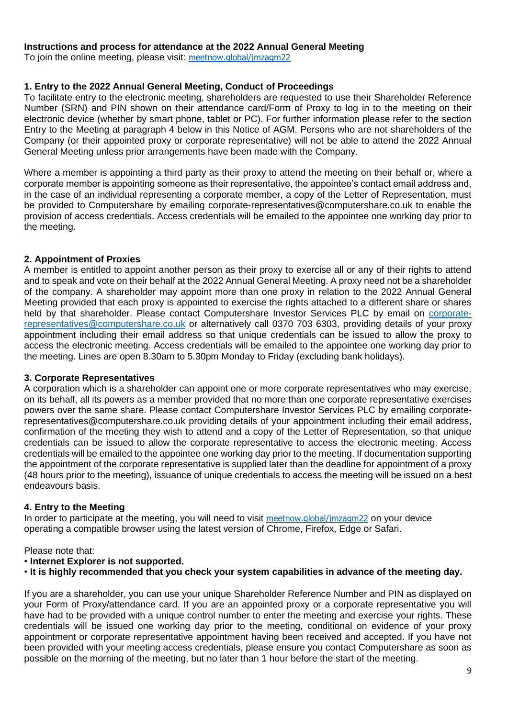### **Instructions and process for attendance at the 2022 Annual General Meeting**

To join the online meeting, please visit: [meetnow.global/jmzagm22](http://meetnow.global/jmzagm22)

# **1. Entry to the 2022 Annual General Meeting, Conduct of Proceedings**

To facilitate entry to the electronic meeting, shareholders are requested to use their Shareholder Reference Number (SRN) and PIN shown on their attendance card/Form of Proxy to log in to the meeting on their electronic device (whether by smart phone, tablet or PC). For further information please refer to the section Entry to the Meeting at paragraph 4 below in this Notice of AGM. Persons who are not shareholders of the Company (or their appointed proxy or corporate representative) will not be able to attend the 2022 Annual General Meeting unless prior arrangements have been made with the Company.

Where a member is appointing a third party as their proxy to attend the meeting on their behalf or, where a corporate member is appointing someone as their representative, the appointee's contact email address and, in the case of an individual representing a corporate member, a copy of the Letter of Representation, must be provided to Computershare by emailing corporate-representatives@computershare.co.uk to enable the provision of access credentials. Access credentials will be emailed to the appointee one working day prior to the meeting.

# **2. Appointment of Proxies**

A member is entitled to appoint another person as their proxy to exercise all or any of their rights to attend and to speak and vote on their behalf at the 2022 Annual General Meeting. A proxy need not be a shareholder of the company. A shareholder may appoint more than one proxy in relation to the 2022 Annual General Meeting provided that each proxy is appointed to exercise the rights attached to a different share or shares held by that shareholder. Please contact Computershare Investor Services PLC by email on [corporate](mailto:corporate-representatives@computershare.co.uk)[representatives@computershare.co.uk](mailto:corporate-representatives@computershare.co.uk) or alternatively call 0370 703 6303, providing details of your proxy appointment including their email address so that unique credentials can be issued to allow the proxy to access the electronic meeting. Access credentials will be emailed to the appointee one working day prior to the meeting. Lines are open 8.30am to 5.30pm Monday to Friday (excluding bank holidays).

# **3. Corporate Representatives**

A corporation which is a shareholder can appoint one or more corporate representatives who may exercise, on its behalf, all its powers as a member provided that no more than one corporate representative exercises powers over the same share. Please contact Computershare Investor Services PLC by emailing [corporate](mailto:corporate-representatives@computershare.co.uk)[representatives@computershare.co.uk](mailto:corporate-representatives@computershare.co.uk) providing details of your appointment including their email address, confirmation of the meeting they wish to attend and a copy of the Letter of Representation, so that unique credentials can be issued to allow the corporate representative to access the electronic meeting. Access credentials will be emailed to the appointee one working day prior to the meeting. If documentation supporting the appointment of the corporate representative is supplied later than the deadline for appointment of a proxy (48 hours prior to the meeting), issuance of unique credentials to access the meeting will be issued on a best endeavours basis.

# **4. Entry to the Meeting**

In order to participate at the meeting, you will need to visit [meetnow.global/jmzagm22](http://meetnow.global/jmzagm22) on your device operating a compatible browser using the latest version of Chrome, Firefox, Edge or Safari.

# Please note that:

# • **Internet Explorer is not supported.**

• **It is highly recommended that you check your system capabilities in advance of the meeting day.**

If you are a shareholder, you can use your unique Shareholder Reference Number and PIN as displayed on your Form of Proxy/attendance card. If you are an appointed proxy or a corporate representative you will have had to be provided with a unique control number to enter the meeting and exercise your rights. These credentials will be issued one working day prior to the meeting, conditional on evidence of your proxy appointment or corporate representative appointment having been received and accepted. If you have not been provided with your meeting access credentials, please ensure you contact Computershare as soon as possible on the morning of the meeting, but no later than 1 hour before the start of the meeting.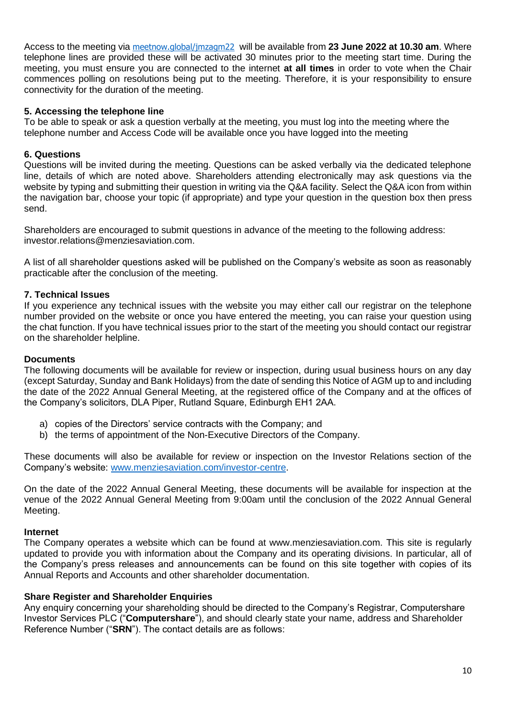Access to the meeting via [meetnow.global/jmzagm22](http://meetnow.global/jmzagm22) will be available from **23 June 2022 at 10.30 am**. Where telephone lines are provided these will be activated 30 minutes prior to the meeting start time. During the meeting, you must ensure you are connected to the internet **at all times** in order to vote when the Chair commences polling on resolutions being put to the meeting. Therefore, it is your responsibility to ensure connectivity for the duration of the meeting.

## **5. Accessing the telephone line**

To be able to speak or ask a question verbally at the meeting, you must log into the meeting where the telephone number and Access Code will be available once you have logged into the meeting

## **6. Questions**

Questions will be invited during the meeting. Questions can be asked verbally via the dedicated telephone line, details of which are noted above. Shareholders attending electronically may ask questions via the website by typing and submitting their question in writing via the Q&A facility. Select the Q&A icon from within the navigation bar, choose your topic (if appropriate) and type your question in the question box then press send.

Shareholders are encouraged to submit questions in advance of the meeting to the following address: [investor.relations@menziesaviation.com.](mailto:investor.relations@menziesaviation.com)

A list of all shareholder questions asked will be published on the Company's website as soon as reasonably practicable after the conclusion of the meeting.

# **7. Technical Issues**

If you experience any technical issues with the website you may either call our registrar on the telephone number provided on the website or once you have entered the meeting, you can raise your question using the chat function. If you have technical issues prior to the start of the meeting you should contact our registrar on the shareholder helpline.

### **Documents**

The following documents will be available for review or inspection, during usual business hours on any day (except Saturday, Sunday and Bank Holidays) from the date of sending this Notice of AGM up to and including the date of the 2022 Annual General Meeting, at the registered office of the Company and at the offices of the Company's solicitors, DLA Piper, Rutland Square, Edinburgh EH1 2AA.

- a) copies of the Directors' service contracts with the Company; and
- b) the terms of appointment of the Non-Executive Directors of the Company.

These documents will also be available for review or inspection on the Investor Relations section of the Company's website: [www.menziesaviation.com/investor-centre.](http://www.menziesaviation.com/investor-centre)

On the date of the 2022 Annual General Meeting, these documents will be available for inspection at the venue of the 2022 Annual General Meeting from 9:00am until the conclusion of the 2022 Annual General Meeting.

### **Internet**

The Company operates a website which can be found at www.menziesaviation.com. This site is regularly updated to provide you with information about the Company and its operating divisions. In particular, all of the Company's press releases and announcements can be found on this site together with copies of its Annual Reports and Accounts and other shareholder documentation.

### **Share Register and Shareholder Enquiries**

Any enquiry concerning your shareholding should be directed to the Company's Registrar, Computershare Investor Services PLC ("**Computershare**"), and should clearly state your name, address and Shareholder Reference Number ("**SRN**"). The contact details are as follows: